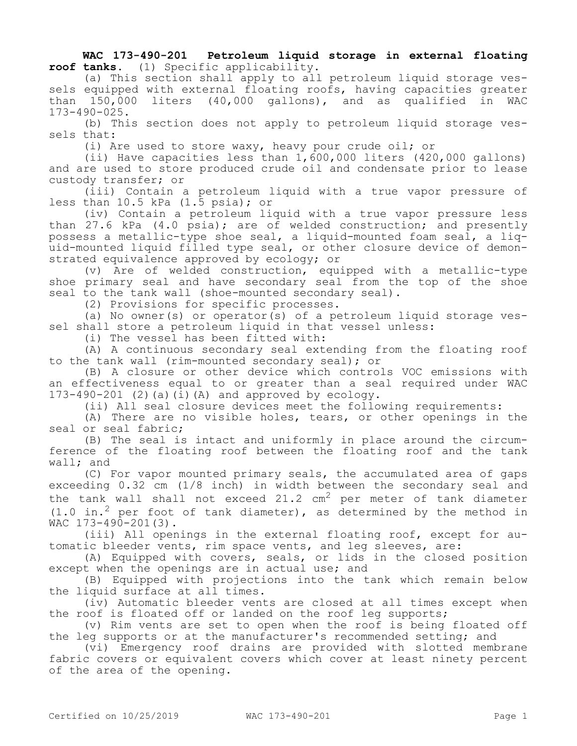**WAC 173-490-201 Petroleum liquid storage in external floating roof tanks.** (1) Specific applicability.

(a) This section shall apply to all petroleum liquid storage vessels equipped with external floating roofs, having capacities greater than 150,000 liters (40,000 gallons), and as qualified in WAC 173-490-025.

(b) This section does not apply to petroleum liquid storage vessels that:

(i) Are used to store waxy, heavy pour crude oil; or

(ii) Have capacities less than 1,600,000 liters (420,000 gallons) and are used to store produced crude oil and condensate prior to lease custody transfer; or

(iii) Contain a petroleum liquid with a true vapor pressure of less than  $10.5$  kPa  $(1.\overline{5})$  psia); or

(iv) Contain a petroleum liquid with a true vapor pressure less than 27.6 kPa (4.0 psia); are of welded construction; and presently possess a metallic-type shoe seal, a liquid-mounted foam seal, a liquid-mounted liquid filled type seal, or other closure device of demonstrated equivalence approved by ecology; or

(v) Are of welded construction, equipped with a metallic-type shoe primary seal and have secondary seal from the top of the shoe seal to the tank wall (shoe-mounted secondary seal).

(2) Provisions for specific processes.

(a) No owner(s) or operator(s) of a petroleum liquid storage vessel shall store a petroleum liquid in that vessel unless:

(i) The vessel has been fitted with:

(A) A continuous secondary seal extending from the floating roof to the tank wall (rim-mounted secondary seal); or

(B) A closure or other device which controls VOC emissions with an effectiveness equal to or greater than a seal required under WAC  $173-490-201$  (2)(a)(i)(A) and approved by ecology.

(ii) All seal closure devices meet the following requirements:

(A) There are no visible holes, tears, or other openings in the seal or seal fabric;

(B) The seal is intact and uniformly in place around the circumference of the floating roof between the floating roof and the tank wall; and

(C) For vapor mounted primary seals, the accumulated area of gaps exceeding 0.32 cm (1/8 inch) in width between the secondary seal and the tank wall shall not exceed 21.2  $cm<sup>2</sup>$  per meter of tank diameter  $(1.0 \text{ in.}^2 \text{ per foot of tank diameter})$ , as determined by the method in WAC 173-490-201(3).

(iii) All openings in the external floating roof, except for automatic bleeder vents, rim space vents, and leg sleeves, are:

(A) Equipped with covers, seals, or lids in the closed position except when the openings are in actual use; and

(B) Equipped with projections into the tank which remain below the liquid surface at all times.

(iv) Automatic bleeder vents are closed at all times except when the roof is floated off or landed on the roof leg supports;

(v) Rim vents are set to open when the roof is being floated off the leg supports or at the manufacturer's recommended setting; and

(vi) Emergency roof drains are provided with slotted membrane fabric covers or equivalent covers which cover at least ninety percent of the area of the opening.